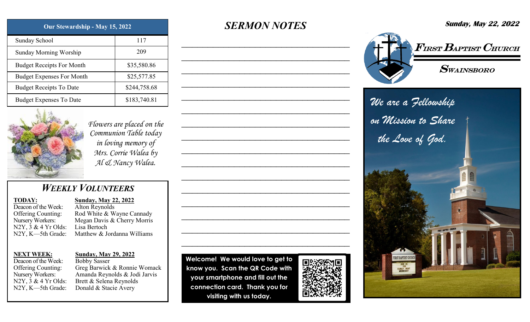| Our Stewardship - May 15, 2022   |              | <b>SERMON NOTES</b> | <b>Sunday, May 22, 2022</b>                |
|----------------------------------|--------------|---------------------|--------------------------------------------|
| Sunday School                    | 117          |                     |                                            |
| <b>Sunday Morning Worship</b>    | 209          |                     | $\sqrt{F_{IRST}}$ $B_{APTIST}$ $C_{HURCH}$ |
| <b>Budget Receipts For Month</b> | \$35,580.86  |                     | $\boldsymbol{S}$ wainsboro                 |
| <b>Budget Expenses For Month</b> | \$25,577.85  |                     |                                            |
| <b>Budget Receipts To Date</b>   | \$244,758.68 |                     |                                            |
| <b>Budget Expenses To Date</b>   | \$183,740.81 |                     | We are a Fellowship                        |



*Flowers are placed on the Communion Table today in loving memory of Mrs. Corrie Walea by Al & Nancy Walea.*

## *WEEKLY VOLUNTEERS*

### **TODAY:**

Deacon of the Week: Offering Counting: Nursery Workers:  $N2Y$ ,  $3 \& 4 \text{Yr Olds}$ : N2Y, K—5th Grade:

**Sunday, May 22, 2022** Alton Reynolds

Rod White & Wayne Cannady Megan Davis & Cherry Morris Lisa Bertoch Matthew & Jordanna Williams

### **NEXT WEEK:**

Deacon of the Week: Offering Counting: Nursery Workers: N2Y, 3 & 4 Yr Olds: N2Y, K—5th Grade:

### **Sunday, May 29, 2022**

Bobby Sasser Greg Barwick & Ronnie Womack Amanda Reynolds & Jodi Jarvis Brett & Selena Reynolds Donald & Stacie Avery

**Welcome! We would love to get to know you. Scan the QR Code with your smartphone and fill out the connection card. Thank you for visiting with us today.** 

 $\mathcal{L}_\text{max}$  and  $\mathcal{L}_\text{max}$  and  $\mathcal{L}_\text{max}$  and  $\mathcal{L}_\text{max}$ 

 $\mathcal{L}_\text{max}$  and  $\mathcal{L}_\text{max}$  and  $\mathcal{L}_\text{max}$  and  $\mathcal{L}_\text{max}$ 

 $\mathcal{L}_\text{max}$  and  $\mathcal{L}_\text{max}$  and  $\mathcal{L}_\text{max}$  and  $\mathcal{L}_\text{max}$ 

 $\mathcal{L}_\text{max}$  and  $\mathcal{L}_\text{max}$  and  $\mathcal{L}_\text{max}$  and  $\mathcal{L}_\text{max}$ 

 $\mathcal{L}_\text{max}$  and  $\mathcal{L}_\text{max}$  and  $\mathcal{L}_\text{max}$  and  $\mathcal{L}_\text{max}$ 

 $\mathcal{L}_\text{max}$  and  $\mathcal{L}_\text{max}$  and  $\mathcal{L}_\text{max}$  and  $\mathcal{L}_\text{max}$ 

 $\mathcal{L}_\text{max}$  and  $\mathcal{L}_\text{max}$  and  $\mathcal{L}_\text{max}$  and  $\mathcal{L}_\text{max}$ 

 $\mathcal{L}_\text{max}$  and  $\mathcal{L}_\text{max}$  and  $\mathcal{L}_\text{max}$  and  $\mathcal{L}_\text{max}$ 

 $\mathcal{L}_\text{max}$  and  $\mathcal{L}_\text{max}$  and  $\mathcal{L}_\text{max}$  and  $\mathcal{L}_\text{max}$ 

 $\mathcal{L}_\text{max}$  and  $\mathcal{L}_\text{max}$  and  $\mathcal{L}_\text{max}$  and  $\mathcal{L}_\text{max}$ 

 $\mathcal{L}_\text{max}$  and  $\mathcal{L}_\text{max}$  and  $\mathcal{L}_\text{max}$  and  $\mathcal{L}_\text{max}$